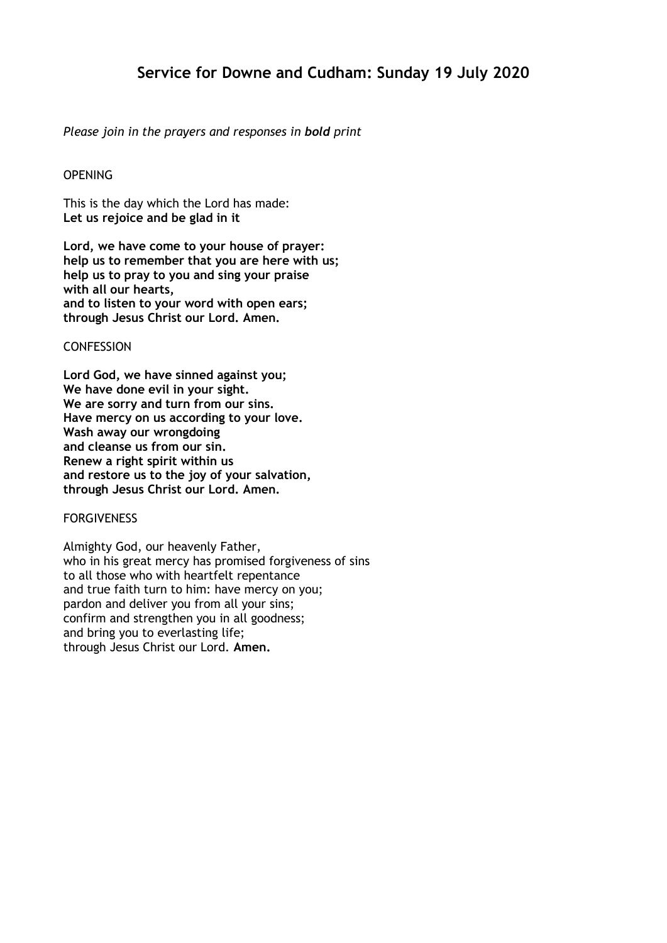# **Service for Downe and Cudham: Sunday 19 July 2020**

# *Please join in the prayers and responses in bold print*

# **OPENING**

This is the day which the Lord has made: **Let us rejoice and be glad in it**

**Lord, we have come to your house of prayer: help us to remember that you are here with us; help us to pray to you and sing your praise with all our hearts, and to listen to your word with open ears; through Jesus Christ our Lord. Amen.**

## **CONFESSION**

**Lord God, we have sinned against you; We have done evil in your sight. We are sorry and turn from our sins. Have mercy on us according to your love. Wash away our wrongdoing and cleanse us from our sin. Renew a right spirit within us and restore us to the joy of your salvation, through Jesus Christ our Lord. Amen.**

#### FORGIVENESS

Almighty God, our heavenly Father, who in his great mercy has promised forgiveness of sins to all those who with heartfelt repentance and true faith turn to him: have mercy on you; pardon and deliver you from all your sins; confirm and strengthen you in all goodness; and bring you to everlasting life; through Jesus Christ our Lord. **Amen.**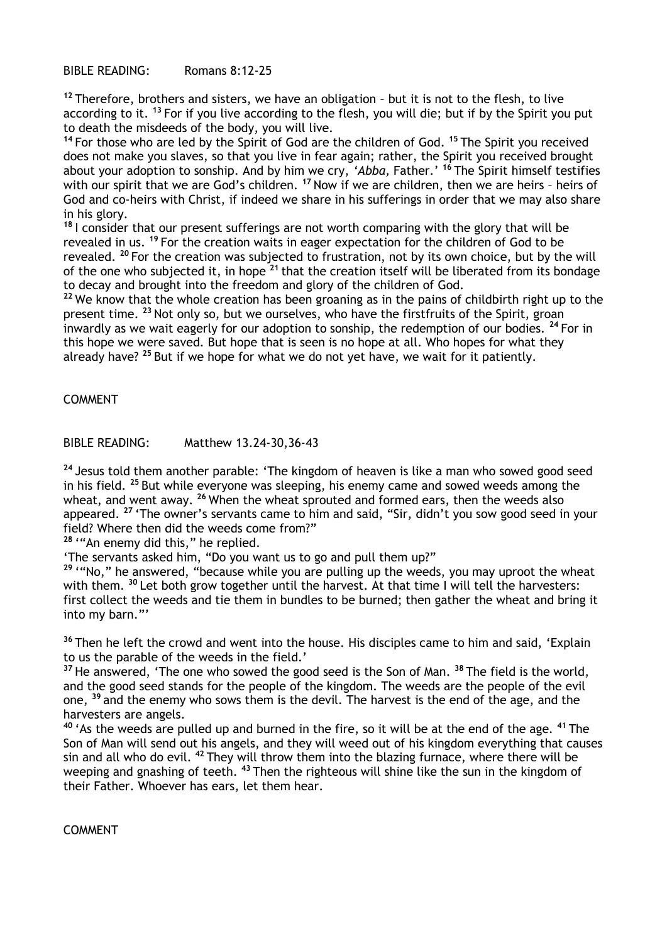BIBLE READING: Romans 8:12-25

**<sup>12</sup>** Therefore, brothers and sisters, we have an obligation – but it is not to the flesh, to live according to it. **<sup>13</sup>** For if you live according to the flesh, you will die; but if by the Spirit you put to death the misdeeds of the body, you will live.

**<sup>14</sup>** For those who are led by the Spirit of God are the children of God. **<sup>15</sup>** The Spirit you received does not make you slaves, so that you live in fear again; rather, the Spirit you received brought about your adoption to sonship. And by him we cry, *'Abba,* Father.' **<sup>16</sup>** The Spirit himself testifies with our spirit that we are God's children. <sup>17</sup> Now if we are children, then we are heirs - heirs of God and co-heirs with Christ, if indeed we share in his sufferings in order that we may also share in his glory.

**<sup>18</sup>** I consider that our present sufferings are not worth comparing with the glory that will be revealed in us. **<sup>19</sup>** For the creation waits in eager expectation for the children of God to be revealed. **<sup>20</sup>** For the creation was subjected to frustration, not by its own choice, but by the will of the one who subjected it, in hope **<sup>21</sup>** that the creation itself will be liberated from its bondage to decay and brought into the freedom and glory of the children of God.

**<sup>22</sup>** We know that the whole creation has been groaning as in the pains of childbirth right up to the present time. **<sup>23</sup>** Not only so, but we ourselves, who have the firstfruits of the Spirit, groan inwardly as we wait eagerly for our adoption to sonship, the redemption of our bodies. **<sup>24</sup>** For in this hope we were saved. But hope that is seen is no hope at all. Who hopes for what they already have? **<sup>25</sup>** But if we hope for what we do not yet have, we wait for it patiently.

COMMENT

BIBLE READING: Matthew 13.24-30,36-43

**<sup>24</sup>** Jesus told them another parable: 'The kingdom of heaven is like a man who sowed good seed in his field. **<sup>25</sup>** But while everyone was sleeping, his enemy came and sowed weeds among the wheat, and went away. **<sup>26</sup>** When the wheat sprouted and formed ears, then the weeds also appeared. **<sup>27</sup>** 'The owner's servants came to him and said, "Sir, didn't you sow good seed in your field? Where then did the weeds come from?"

**<sup>28</sup>** '"An enemy did this," he replied.

'The servants asked him, "Do you want us to go and pull them up?"

**<sup>29</sup>** '"No," he answered, "because while you are pulling up the weeds, you may uproot the wheat with them. <sup>30</sup> Let both grow together until the harvest. At that time I will tell the harvesters: first collect the weeds and tie them in bundles to be burned; then gather the wheat and bring it into my barn."'

**<sup>36</sup>** Then he left the crowd and went into the house. His disciples came to him and said, 'Explain to us the parable of the weeds in the field.'

**<sup>37</sup>** He answered, 'The one who sowed the good seed is the Son of Man. **<sup>38</sup>** The field is the world, and the good seed stands for the people of the kingdom. The weeds are the people of the evil one, **<sup>39</sup>** and the enemy who sows them is the devil. The harvest is the end of the age, and the harvesters are angels.

**<sup>40</sup>** 'As the weeds are pulled up and burned in the fire, so it will be at the end of the age. **<sup>41</sup>** The Son of Man will send out his angels, and they will weed out of his kingdom everything that causes sin and all who do evil. **<sup>42</sup>** They will throw them into the blazing furnace, where there will be weeping and gnashing of teeth. **<sup>43</sup>** Then the righteous will shine like the sun in the kingdom of their Father. Whoever has ears, let them hear.

COMMENT